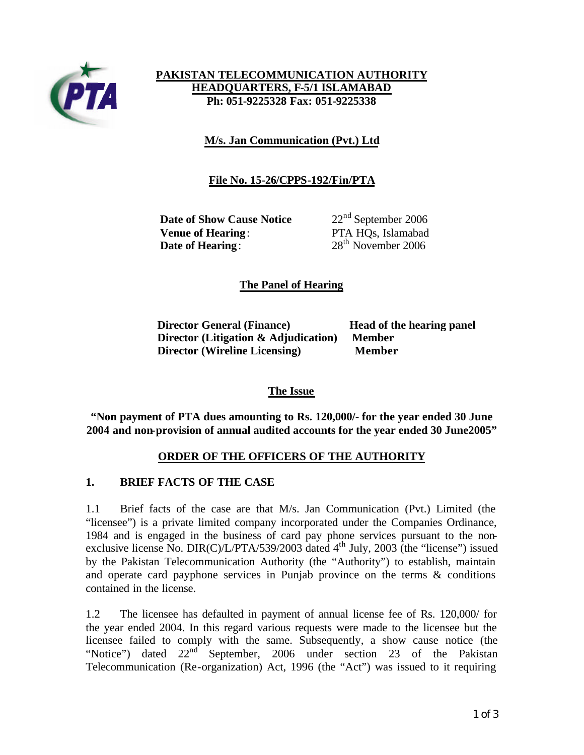

## **PAKISTAN TELECOMMUNICATION AUTHORITY HEADQUARTERS, F-5/1 ISLAMABAD Ph: 051-9225328 Fax: 051-9225338**

**M/s. Jan Communication (Pvt.) Ltd**

# **File No. 15-26/CPPS-192/Fin/PTA**

**Date of Show Cause Notice** 22<sup>nd</sup> September 2006 **Venue of Hearing**: PTA HQs, Islamabad **Date of Hearing:** 28<sup>th</sup> November 2006

## **The Panel of Hearing**

**Director General (Finance) Head of the hearing panel Director (Litigation & Adjudication) Member Director (Wireline Licensing)** Member

### **The Issue**

**"Non payment of PTA dues amounting to Rs. 120,000/- for the year ended 30 June 2004 and non-provision of annual audited accounts for the year ended 30 June2005"**

### **ORDER OF THE OFFICERS OF THE AUTHORITY**

### **1. BRIEF FACTS OF THE CASE**

1.1 Brief facts of the case are that M/s. Jan Communication (Pvt.) Limited (the "licensee") is a private limited company incorporated under the Companies Ordinance, 1984 and is engaged in the business of card pay phone services pursuant to the nonexclusive license No. DIR(C)/L/PTA/539/2003 dated  $4<sup>th</sup>$  July, 2003 (the "license") issued by the Pakistan Telecommunication Authority (the "Authority") to establish, maintain and operate card payphone services in Punjab province on the terms & conditions contained in the license.

1.2 The licensee has defaulted in payment of annual license fee of Rs. 120,000/ for the year ended 2004. In this regard various requests were made to the licensee but the licensee failed to comply with the same. Subsequently, a show cause notice (the "Notice") dated  $22<sup>nd</sup>$  September, 2006 under section 23 of the Pakistan Telecommunication (Re-organization) Act, 1996 (the "Act") was issued to it requiring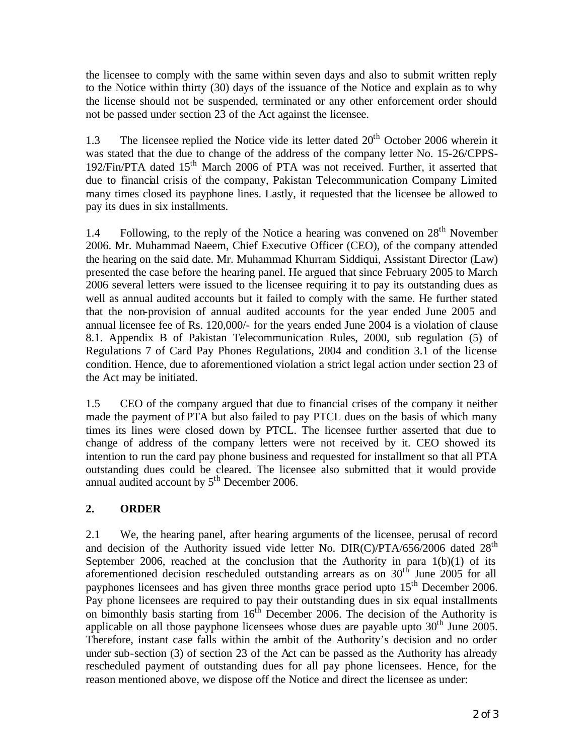the licensee to comply with the same within seven days and also to submit written reply to the Notice within thirty (30) days of the issuance of the Notice and explain as to why the license should not be suspended, terminated or any other enforcement order should not be passed under section 23 of the Act against the licensee.

1.3 The licensee replied the Notice vide its letter dated  $20<sup>th</sup>$  October 2006 wherein it was stated that the due to change of the address of the company letter No. 15-26/CPPS-192/Fin/PTA dated 15th March 2006 of PTA was not received. Further, it asserted that due to financial crisis of the company, Pakistan Telecommunication Company Limited many times closed its payphone lines. Lastly, it requested that the licensee be allowed to pay its dues in six installments.

1.4 Following, to the reply of the Notice a hearing was convened on  $28<sup>th</sup>$  November 2006. Mr. Muhammad Naeem, Chief Executive Officer (CEO), of the company attended the hearing on the said date. Mr. Muhammad Khurram Siddiqui, Assistant Director (Law) presented the case before the hearing panel. He argued that since February 2005 to March 2006 several letters were issued to the licensee requiring it to pay its outstanding dues as well as annual audited accounts but it failed to comply with the same. He further stated that the non-provision of annual audited accounts for the year ended June 2005 and annual licensee fee of Rs. 120,000/- for the years ended June 2004 is a violation of clause 8.1. Appendix B of Pakistan Telecommunication Rules, 2000, sub regulation (5) of Regulations 7 of Card Pay Phones Regulations, 2004 and condition 3.1 of the license condition. Hence, due to aforementioned violation a strict legal action under section 23 of the Act may be initiated.

1.5 CEO of the company argued that due to financial crises of the company it neither made the payment of PTA but also failed to pay PTCL dues on the basis of which many times its lines were closed down by PTCL. The licensee further asserted that due to change of address of the company letters were not received by it. CEO showed its intention to run the card pay phone business and requested for installment so that all PTA outstanding dues could be cleared. The licensee also submitted that it would provide annual audited account by  $5<sup>th</sup>$  December 2006.

# **2. ORDER**

2.1 We, the hearing panel, after hearing arguments of the licensee, perusal of record and decision of the Authority issued vide letter No. DIR(C)/PTA/656/2006 dated  $28<sup>th</sup>$ September 2006, reached at the conclusion that the Authority in para  $1(b)(1)$  of its aforementioned decision rescheduled outstanding arrears as on 30th June 2005 for all payphones licensees and has given three months grace period upto  $15<sup>th</sup>$  December 2006. Pay phone licensees are required to pay their outstanding dues in six equal installments on bimonthly basis starting from  $16<sup>th</sup>$  December 2006. The decision of the Authority is applicable on all those payphone licensees whose dues are payable upto  $30<sup>th</sup>$  June 2005. Therefore, instant case falls within the ambit of the Authority's decision and no order under sub-section (3) of section 23 of the Act can be passed as the Authority has already rescheduled payment of outstanding dues for all pay phone licensees. Hence, for the reason mentioned above, we dispose off the Notice and direct the licensee as under: